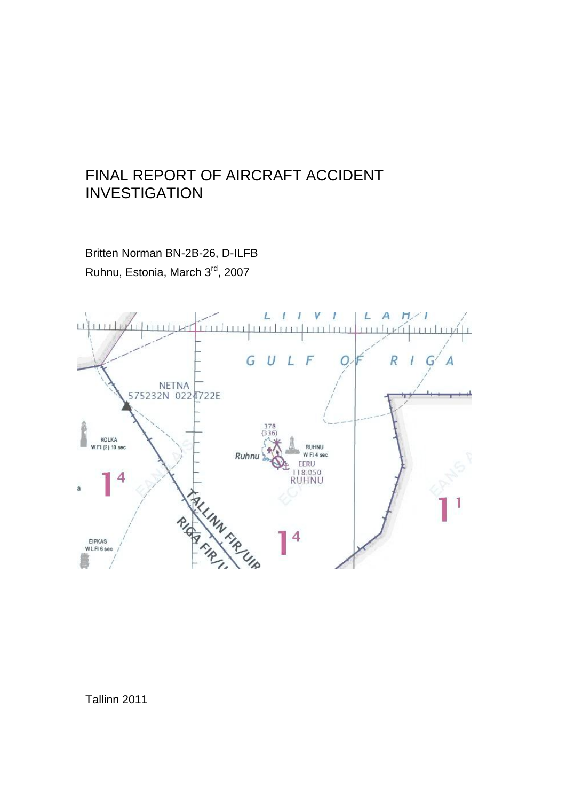# FINAL REPORT OF AIRCRAFT ACCIDENT INVESTIGATION

Britten Norman BN-2B-26, D-ILFB Ruhnu, Estonia, March 3<sup>rd</sup>, 2007

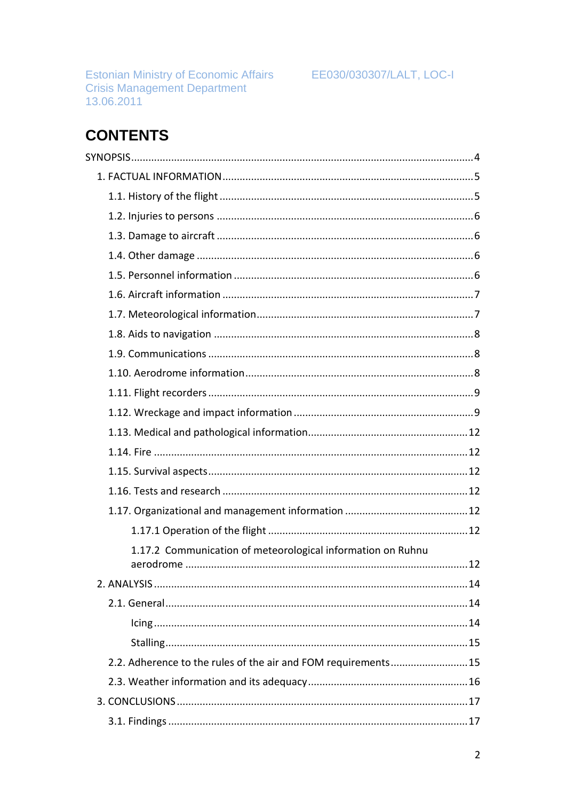# **CONTENTS**

| 1.17.2 Communication of meteorological information on Ruhnu   |
|---------------------------------------------------------------|
|                                                               |
|                                                               |
|                                                               |
|                                                               |
|                                                               |
| 2.2. Adherence to the rules of the air and FOM requirements15 |
|                                                               |
|                                                               |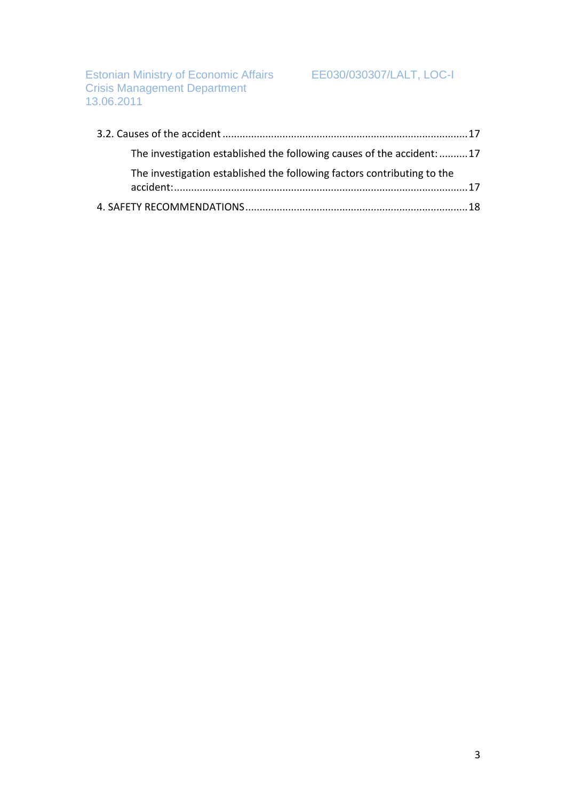#### EE030/030307/LALT, LOC-I

#### Estonian Ministry of Economic Affairs Crisis Management Department 13.06.2011

| The investigation established the following causes of the accident: 17  |  |
|-------------------------------------------------------------------------|--|
| The investigation established the following factors contributing to the |  |
|                                                                         |  |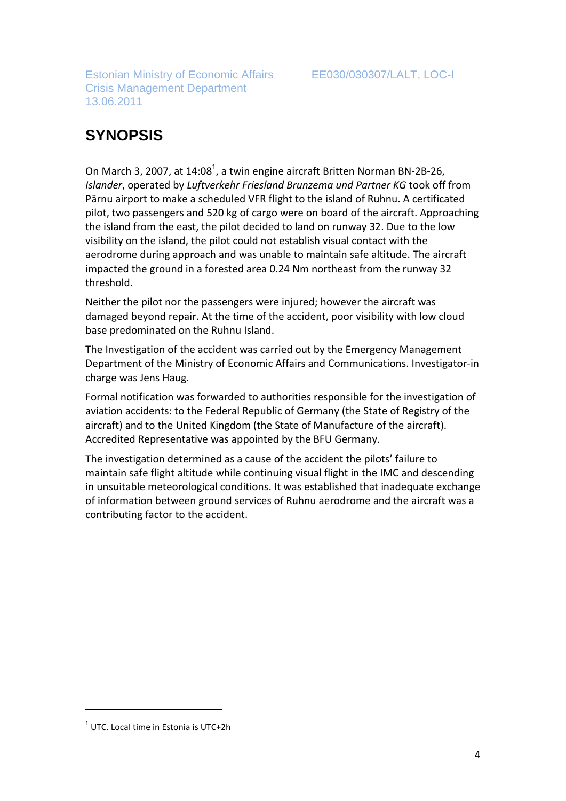# <span id="page-3-0"></span>**SYNOPSIS**

On March 3, 2007, at  $14:08<sup>1</sup>$ , a twin engine aircraft Britten Norman BN-2B-26, *Islander*, operated by *Luftverkehr Friesland Brunzema und Partner KG* took off from Pärnu airport to make a scheduled VFR flight to the island of Ruhnu. A certificated pilot, two passengers and 520 kg of cargo were on board of the aircraft. Approaching the island from the east, the pilot decided to land on runway 32. Due to the low visibility on the island, the pilot could not establish visual contact with the aerodrome during approach and was unable to maintain safe altitude. The aircraft impacted the ground in a forested area 0.24 Nm northeast from the runway 32 threshold.

Neither the pilot nor the passengers were injured; however the aircraft was damaged beyond repair. At the time of the accident, poor visibility with low cloud base predominated on the Ruhnu Island.

The Investigation of the accident was carried out by the Emergency Management Department of the Ministry of Economic Affairs and Communications. Investigator-in charge was Jens Haug.

Formal notification was forwarded to authorities responsible for the investigation of aviation accidents: to the Federal Republic of Germany (the State of Registry of the aircraft) and to the United Kingdom (the State of Manufacture of the aircraft). Accredited Representative was appointed by the BFU Germany.

The investigation determined as a cause of the accident the pilots' failure to maintain safe flight altitude while continuing visual flight in the IMC and descending in unsuitable meteorological conditions. It was established that inadequate exchange of information between ground services of Ruhnu aerodrome and the aircraft was a contributing factor to the accident.

 $\overline{a}$ 

 $<sup>1</sup>$  UTC. Local time in Estonia is UTC+2h</sup>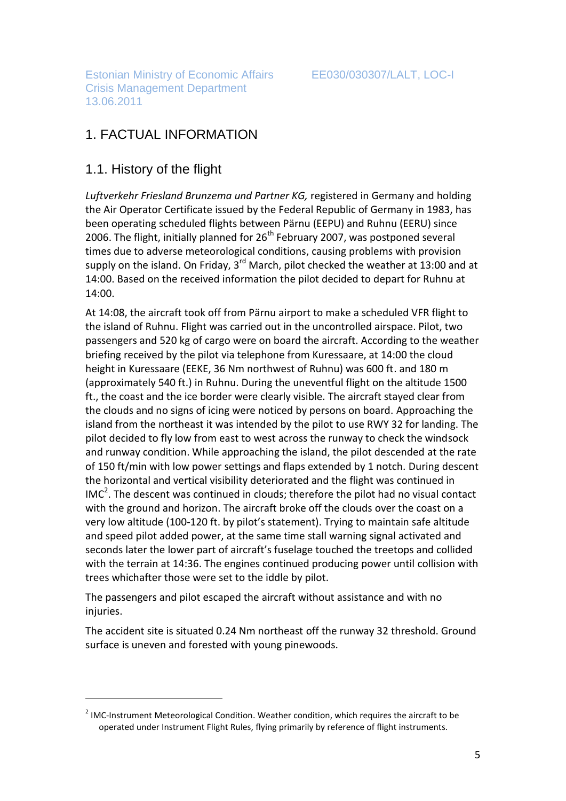# <span id="page-4-0"></span>1. FACTUAL INFORMATION

# <span id="page-4-1"></span>1.1. History of the flight

 $\overline{a}$ 

*Luftverkehr Friesland Brunzema und Partner KG,* registered in Germany and holding the Air Operator Certificate issued by the Federal Republic of Germany in 1983, has been operating scheduled flights between Pärnu (EEPU) and Ruhnu (EERU) since 2006. The flight, initially planned for  $26<sup>th</sup>$  February 2007, was postponed several times due to adverse meteorological conditions, causing problems with provision supply on the island. On Friday,  $3^{rd}$  March, pilot checked the weather at 13:00 and at 14:00. Based on the received information the pilot decided to depart for Ruhnu at 14:00.

At 14:08, the aircraft took off from Pärnu airport to make a scheduled VFR flight to the island of Ruhnu. Flight was carried out in the uncontrolled airspace. Pilot, two passengers and 520 kg of cargo were on board the aircraft. According to the weather briefing received by the pilot via telephone from Kuressaare, at 14:00 the cloud height in Kuressaare (EEKE, 36 Nm northwest of Ruhnu) was 600 ft. and 180 m (approximately 540 ft.) in Ruhnu. During the uneventful flight on the altitude 1500 ft., the coast and the ice border were clearly visible. The aircraft stayed clear from the clouds and no signs of icing were noticed by persons on board. Approaching the island from the northeast it was intended by the pilot to use RWY 32 for landing. The pilot decided to fly low from east to west across the runway to check the windsock and runway condition. While approaching the island, the pilot descended at the rate of 150 ft/min with low power settings and flaps extended by 1 notch. During descent the horizontal and vertical visibility deteriorated and the flight was continued in IMC<sup>2</sup>. The descent was continued in clouds; therefore the pilot had no visual contact with the ground and horizon. The aircraft broke off the clouds over the coast on a very low altitude (100-120 ft. by pilot's statement). Trying to maintain safe altitude and speed pilot added power, at the same time stall warning signal activated and seconds later the lower part of aircraft's fuselage touched the treetops and collided with the terrain at 14:36. The engines continued producing power until collision with trees whichafter those were set to the iddle by pilot.

The passengers and pilot escaped the aircraft without assistance and with no injuries.

The accident site is situated 0.24 Nm northeast off the runway 32 threshold. Ground surface is uneven and forested with young pinewoods.

 $2$  IMC-Instrument Meteorological Condition. Weather condition, which requires the aircraft to be operated under Instrument Flight Rules, flying primarily by reference of flight instruments.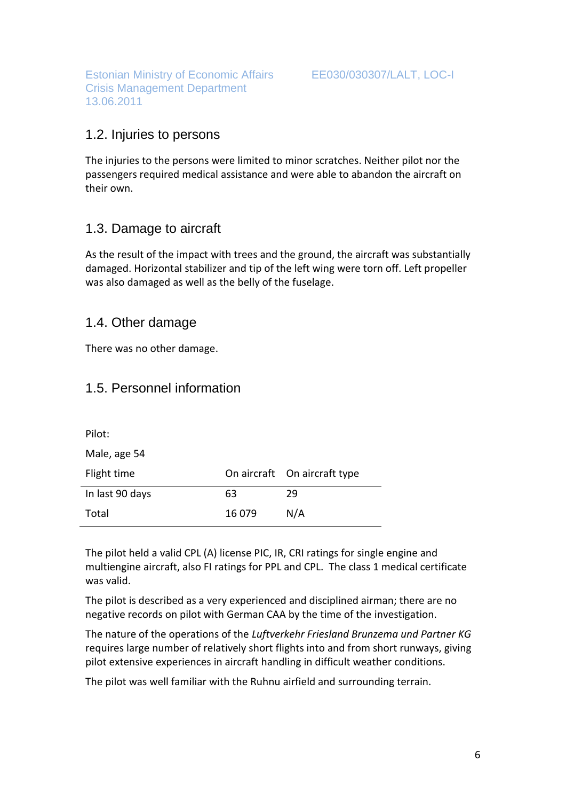#### <span id="page-5-0"></span>1.2. Injuries to persons

The injuries to the persons were limited to minor scratches. Neither pilot nor the passengers required medical assistance and were able to abandon the aircraft on their own.

# <span id="page-5-1"></span>1.3. Damage to aircraft

As the result of the impact with trees and the ground, the aircraft was substantially damaged. Horizontal stabilizer and tip of the left wing were torn off. Left propeller was also damaged as well as the belly of the fuselage.

#### <span id="page-5-2"></span>1.4. Other damage

There was no other damage.

## <span id="page-5-3"></span>1.5. Personnel information

| Pilot:          |        |                              |
|-----------------|--------|------------------------------|
| Male, age 54    |        |                              |
| Flight time     |        | On aircraft On aircraft type |
| In last 90 days | 63     | 29                           |
| Total           | 16 079 | N/A                          |

The pilot held a valid CPL (A) license PIC, IR, CRI ratings for single engine and multiengine aircraft, also FI ratings for PPL and CPL. The class 1 medical certificate was valid.

The pilot is described as a very experienced and disciplined airman; there are no negative records on pilot with German CAA by the time of the investigation.

The nature of the operations of the *Luftverkehr Friesland Brunzema und Partner KG* requires large number of relatively short flights into and from short runways, giving pilot extensive experiences in aircraft handling in difficult weather conditions.

The pilot was well familiar with the Ruhnu airfield and surrounding terrain.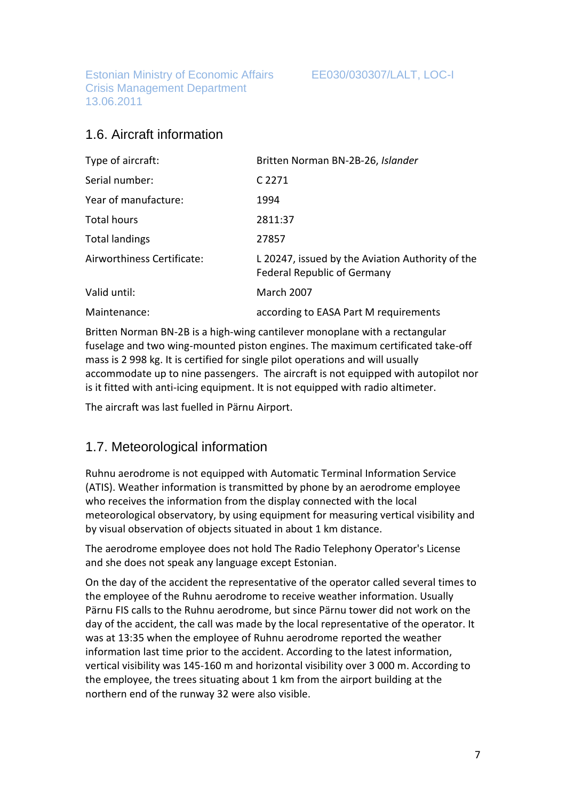# <span id="page-6-0"></span>1.6. Aircraft information

| Type of aircraft:          | Britten Norman BN-2B-26, Islander                                               |
|----------------------------|---------------------------------------------------------------------------------|
| Serial number:             | C 2271                                                                          |
| Year of manufacture:       | 1994                                                                            |
| Total hours                | 2811:37                                                                         |
| <b>Total landings</b>      | 27857                                                                           |
| Airworthiness Certificate: | L 20247, issued by the Aviation Authority of the<br>Federal Republic of Germany |
| Valid until:               | <b>March 2007</b>                                                               |
| Maintenance:               | according to EASA Part M requirements                                           |

Britten Norman BN-2B is a high-wing cantilever monoplane with a rectangular fuselage and two wing-mounted piston engines. The maximum certificated take-off mass is 2 998 kg. It is certified for single pilot operations and will usually accommodate up to nine passengers. The aircraft is not equipped with autopilot nor is it fitted with anti-icing equipment. It is not equipped with radio altimeter.

The aircraft was last fuelled in Pärnu Airport.

# <span id="page-6-1"></span>1.7. Meteorological information

Ruhnu aerodrome is not equipped with Automatic Terminal Information Service (ATIS). Weather information is transmitted by phone by an aerodrome employee who receives the information from the display connected with the local meteorological observatory, by using equipment for measuring vertical visibility and by visual observation of objects situated in about 1 km distance.

The aerodrome employee does not hold The Radio Telephony Operator's License and she does not speak any language except Estonian.

On the day of the accident the representative of the operator called several times to the employee of the Ruhnu aerodrome to receive weather information. Usually Pärnu FIS calls to the Ruhnu aerodrome, but since Pärnu tower did not work on the day of the accident, the call was made by the local representative of the operator. It was at 13:35 when the employee of Ruhnu aerodrome reported the weather information last time prior to the accident. According to the latest information, vertical visibility was 145-160 m and horizontal visibility over 3 000 m. According to the employee, the trees situating about 1 km from the airport building at the northern end of the runway 32 were also visible.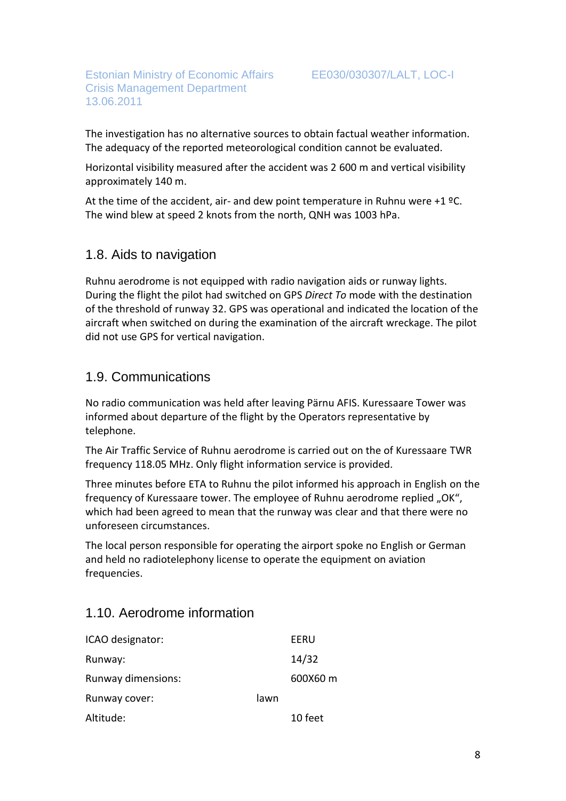The investigation has no alternative sources to obtain factual weather information. The adequacy of the reported meteorological condition cannot be evaluated.

Horizontal visibility measured after the accident was 2 600 m and vertical visibility approximately 140 m.

At the time of the accident, air- and dew point temperature in Ruhnu were +1 ºC. The wind blew at speed 2 knots from the north, QNH was 1003 hPa.

## <span id="page-7-0"></span>1.8. Aids to navigation

Ruhnu aerodrome is not equipped with radio navigation aids or runway lights. During the flight the pilot had switched on GPS *Direct To* mode with the destination of the threshold of runway 32. GPS was operational and indicated the location of the aircraft when switched on during the examination of the aircraft wreckage. The pilot did not use GPS for vertical navigation.

## <span id="page-7-1"></span>1.9. Communications

No radio communication was held after leaving Pärnu AFIS. Kuressaare Tower was informed about departure of the flight by the Operators representative by telephone.

The Air Traffic Service of Ruhnu aerodrome is carried out on the of Kuressaare TWR frequency 118.05 MHz. Only flight information service is provided.

Three minutes before ETA to Ruhnu the pilot informed his approach in English on the frequency of Kuressaare tower. The employee of Ruhnu aerodrome replied "OK", which had been agreed to mean that the runway was clear and that there were no unforeseen circumstances.

The local person responsible for operating the airport spoke no English or German and held no radiotelephony license to operate the equipment on aviation frequencies.

## <span id="page-7-2"></span>1.10. Aerodrome information

| ICAO designator:   |      | EERU     |
|--------------------|------|----------|
| Runway:            |      | 14/32    |
| Runway dimensions: |      | 600X60 m |
| Runway cover:      | lawn |          |
| Altitude:          |      | 10 feet  |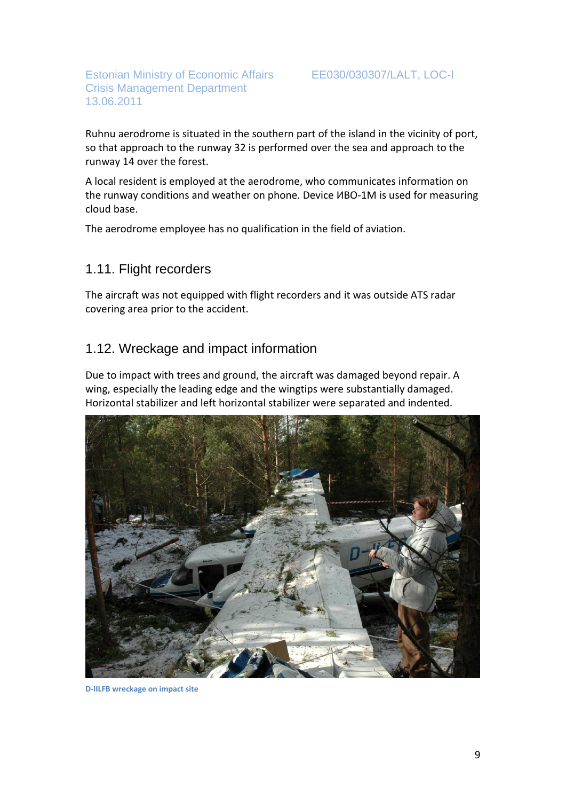Ruhnu aerodrome is situated in the southern part of the island in the vicinity of port, so that approach to the runway 32 is performed over the sea and approach to the runway 14 over the forest.

A local resident is employed at the aerodrome, who communicates information on the runway conditions and weather on phone. Device ИВО-1M is used for measuring cloud base.

The aerodrome employee has no qualification in the field of aviation.

# <span id="page-8-0"></span>1.11. Flight recorders

The aircraft was not equipped with flight recorders and it was outside ATS radar covering area prior to the accident.

# <span id="page-8-1"></span>1.12. Wreckage and impact information

Due to impact with trees and ground, the aircraft was damaged beyond repair. A wing, especially the leading edge and the wingtips were substantially damaged. Horizontal stabilizer and left horizontal stabilizer were separated and indented.



**D-IILFB wreckage on impact site**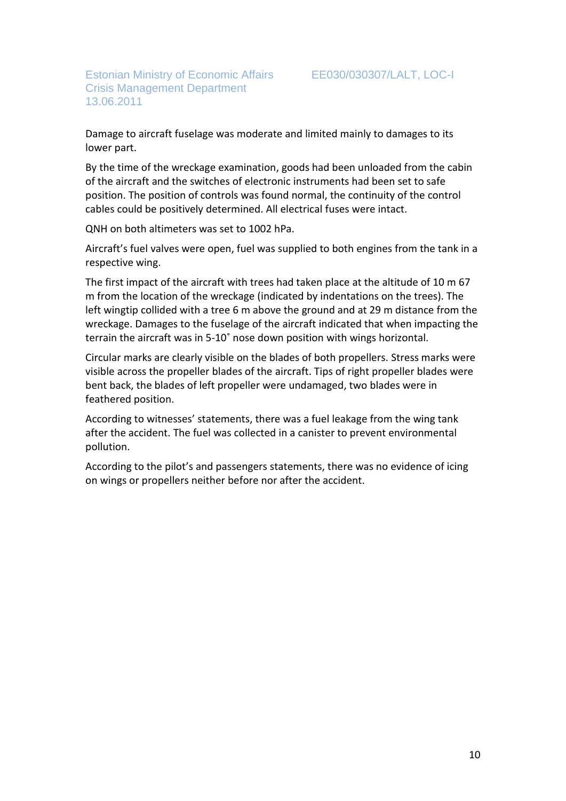Damage to aircraft fuselage was moderate and limited mainly to damages to its lower part.

By the time of the wreckage examination, goods had been unloaded from the cabin of the aircraft and the switches of electronic instruments had been set to safe position. The position of controls was found normal, the continuity of the control cables could be positively determined. All electrical fuses were intact.

QNH on both altimeters was set to 1002 hPa.

Aircraft's fuel valves were open, fuel was supplied to both engines from the tank in a respective wing.

The first impact of the aircraft with trees had taken place at the altitude of 10 m 67 m from the location of the wreckage (indicated by indentations on the trees). The left wingtip collided with a tree 6 m above the ground and at 29 m distance from the wreckage. Damages to the fuselage of the aircraft indicated that when impacting the terrain the aircraft was in 5-10˚ nose down position with wings horizontal.

Circular marks are clearly visible on the blades of both propellers. Stress marks were visible across the propeller blades of the aircraft. Tips of right propeller blades were bent back, the blades of left propeller were undamaged, two blades were in feathered position.

According to witnesses' statements, there was a fuel leakage from the wing tank after the accident. The fuel was collected in a canister to prevent environmental pollution.

According to the pilot's and passengers statements, there was no evidence of icing on wings or propellers neither before nor after the accident.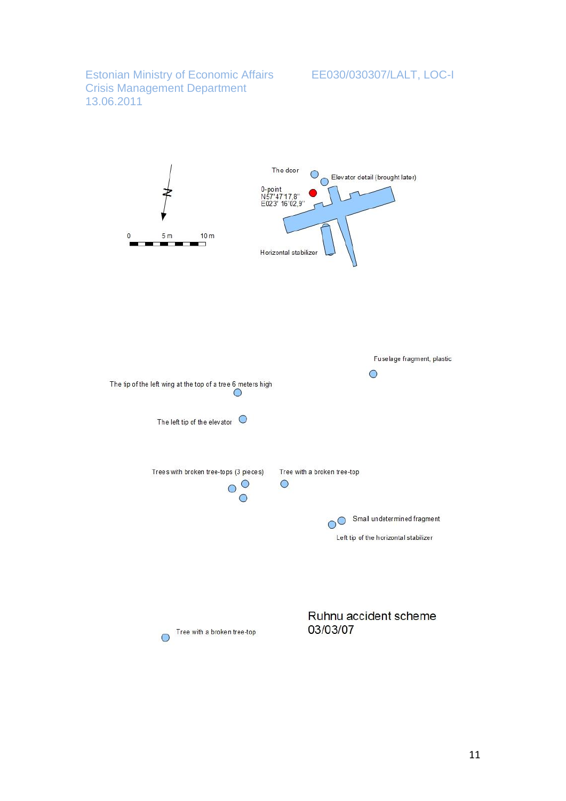#### EE030/030307/LALT, LOC-I

Estonian Ministry of Economic Affairs Crisis Management Department 13.06.2011



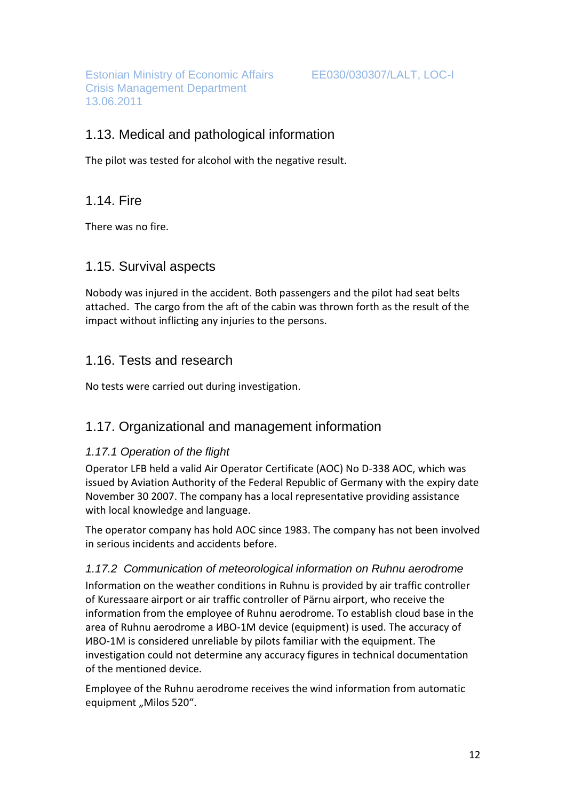## <span id="page-11-0"></span>1.13. Medical and pathological information

The pilot was tested for alcohol with the negative result.

<span id="page-11-1"></span>1.14. Fire

There was no fire.

#### <span id="page-11-2"></span>1.15. Survival aspects

Nobody was injured in the accident. Both passengers and the pilot had seat belts attached. The cargo from the aft of the cabin was thrown forth as the result of the impact without inflicting any injuries to the persons.

## <span id="page-11-3"></span>1.16. Tests and research

No tests were carried out during investigation.

## <span id="page-11-4"></span>1.17. Organizational and management information

#### <span id="page-11-5"></span>*1.17.1 Operation of the flight*

Operator LFB held a valid Air Operator Certificate (AOC) No D-338 AOC, which was issued by Aviation Authority of the Federal Republic of Germany with the expiry date November 30 2007. The company has a local representative providing assistance with local knowledge and language.

The operator company has hold AOC since 1983. The company has not been involved in serious incidents and accidents before.

#### <span id="page-11-6"></span>*1.17.2 Communication of meteorological information on Ruhnu aerodrome*

Information on the weather conditions in Ruhnu is provided by air traffic controller of Kuressaare airport or air traffic controller of Pärnu airport, who receive the information from the employee of Ruhnu aerodrome. To establish cloud base in the area of Ruhnu aerodrome a ИВО-1M device (equipment) is used. The accuracy of ИВО-1M is considered unreliable by pilots familiar with the equipment. The investigation could not determine any accuracy figures in technical documentation of the mentioned device.

Employee of the Ruhnu aerodrome receives the wind information from automatic equipment "Milos 520".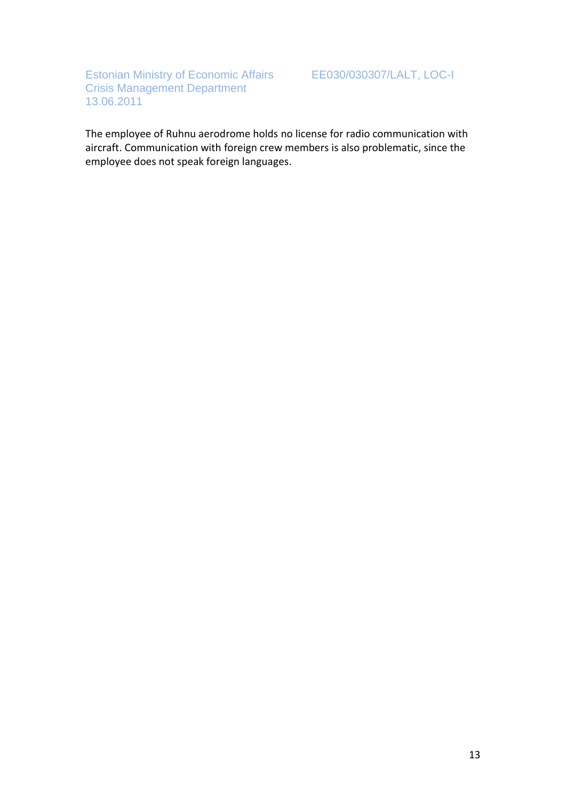The employee of Ruhnu aerodrome holds no license for radio communication with aircraft. Communication with foreign crew members is also problematic, since the employee does not speak foreign languages.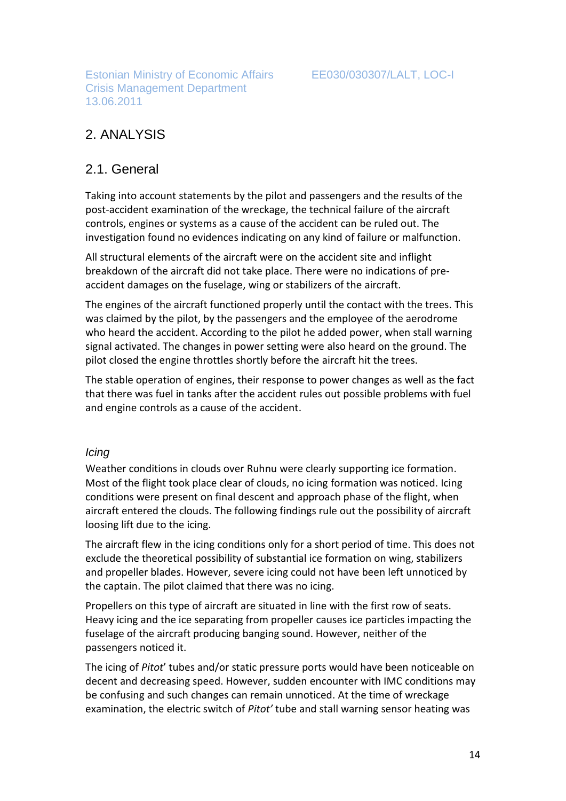# <span id="page-13-0"></span>2. ANALYSIS

#### <span id="page-13-1"></span>2.1. General

Taking into account statements by the pilot and passengers and the results of the post-accident examination of the wreckage, the technical failure of the aircraft controls, engines or systems as a cause of the accident can be ruled out. The investigation found no evidences indicating on any kind of failure or malfunction.

All structural elements of the aircraft were on the accident site and inflight breakdown of the aircraft did not take place. There were no indications of preaccident damages on the fuselage, wing or stabilizers of the aircraft.

The engines of the aircraft functioned properly until the contact with the trees. This was claimed by the pilot, by the passengers and the employee of the aerodrome who heard the accident. According to the pilot he added power, when stall warning signal activated. The changes in power setting were also heard on the ground. The pilot closed the engine throttles shortly before the aircraft hit the trees.

The stable operation of engines, their response to power changes as well as the fact that there was fuel in tanks after the accident rules out possible problems with fuel and engine controls as a cause of the accident.

#### <span id="page-13-2"></span>*Icing*

Weather conditions in clouds over Ruhnu were clearly supporting ice formation. Most of the flight took place clear of clouds, no icing formation was noticed. Icing conditions were present on final descent and approach phase of the flight, when aircraft entered the clouds. The following findings rule out the possibility of aircraft loosing lift due to the icing.

The aircraft flew in the icing conditions only for a short period of time. This does not exclude the theoretical possibility of substantial ice formation on wing, stabilizers and propeller blades. However, severe icing could not have been left unnoticed by the captain. The pilot claimed that there was no icing.

Propellers on this type of aircraft are situated in line with the first row of seats. Heavy icing and the ice separating from propeller causes ice particles impacting the fuselage of the aircraft producing banging sound. However, neither of the passengers noticed it.

The icing of *Pitot*' tubes and/or static pressure ports would have been noticeable on decent and decreasing speed. However, sudden encounter with IMC conditions may be confusing and such changes can remain unnoticed. At the time of wreckage examination, the electric switch of *Pitot'* tube and stall warning sensor heating was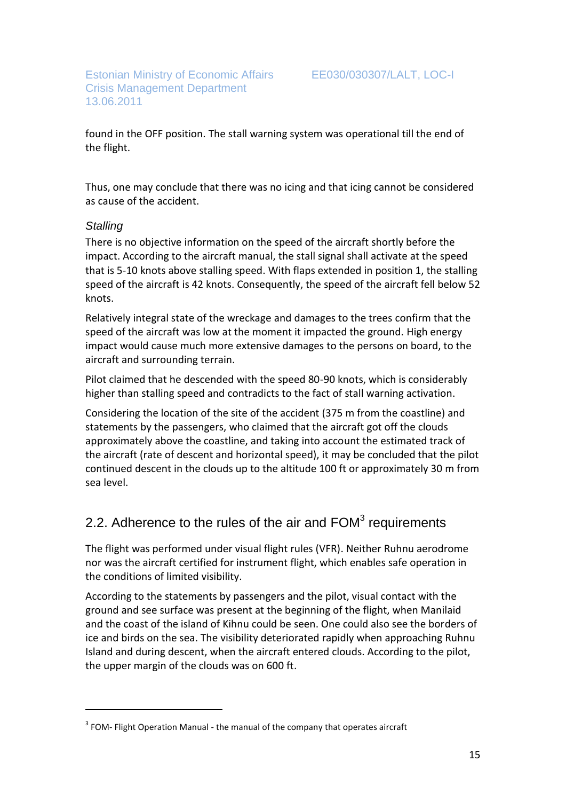found in the OFF position. The stall warning system was operational till the end of the flight.

Thus, one may conclude that there was no icing and that icing cannot be considered as cause of the accident.

#### <span id="page-14-0"></span>*Stalling*

 $\overline{a}$ 

There is no objective information on the speed of the aircraft shortly before the impact. According to the aircraft manual, the stall signal shall activate at the speed that is 5-10 knots above stalling speed. With flaps extended in position 1, the stalling speed of the aircraft is 42 knots. Consequently, the speed of the aircraft fell below 52 knots.

Relatively integral state of the wreckage and damages to the trees confirm that the speed of the aircraft was low at the moment it impacted the ground. High energy impact would cause much more extensive damages to the persons on board, to the aircraft and surrounding terrain.

Pilot claimed that he descended with the speed 80-90 knots, which is considerably higher than stalling speed and contradicts to the fact of stall warning activation.

Considering the location of the site of the accident (375 m from the coastline) and statements by the passengers, who claimed that the aircraft got off the clouds approximately above the coastline, and taking into account the estimated track of the aircraft (rate of descent and horizontal speed), it may be concluded that the pilot continued descent in the clouds up to the altitude 100 ft or approximately 30 m from sea level.

# <span id="page-14-1"></span>2.2. Adherence to the rules of the air and  $FOM<sup>3</sup>$  requirements

The flight was performed under visual flight rules (VFR). Neither Ruhnu aerodrome nor was the aircraft certified for instrument flight, which enables safe operation in the conditions of limited visibility.

According to the statements by passengers and the pilot, visual contact with the ground and see surface was present at the beginning of the flight, when Manilaid and the coast of the island of Kihnu could be seen. One could also see the borders of ice and birds on the sea. The visibility deteriorated rapidly when approaching Ruhnu Island and during descent, when the aircraft entered clouds. According to the pilot, the upper margin of the clouds was on 600 ft.

 $3$  FOM- Flight Operation Manual - the manual of the company that operates aircraft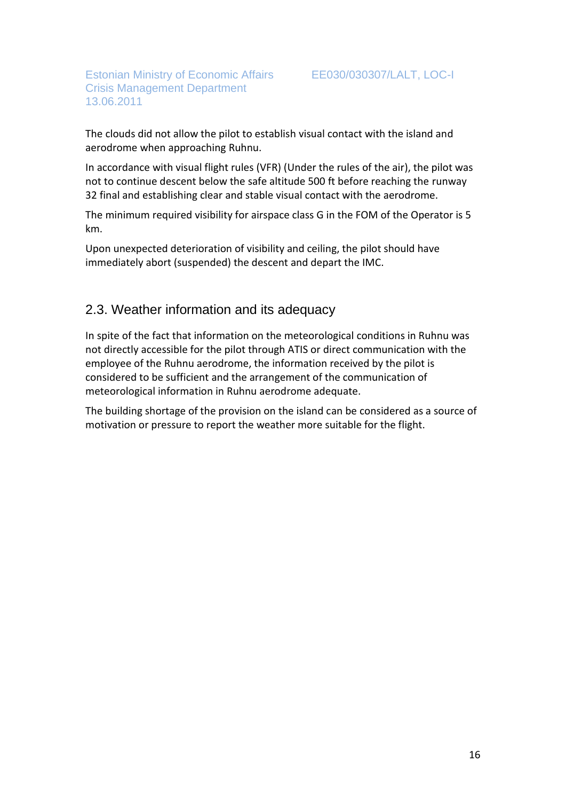The clouds did not allow the pilot to establish visual contact with the island and aerodrome when approaching Ruhnu.

In accordance with visual flight rules (VFR) (Under the rules of the air), the pilot was not to continue descent below the safe altitude 500 ft before reaching the runway 32 final and establishing clear and stable visual contact with the aerodrome.

The minimum required visibility for airspace class G in the FOM of the Operator is 5 km.

Upon unexpected deterioration of visibility and ceiling, the pilot should have immediately abort (suspended) the descent and depart the IMC.

# <span id="page-15-0"></span>2.3. Weather information and its adequacy

In spite of the fact that information on the meteorological conditions in Ruhnu was not directly accessible for the pilot through ATIS or direct communication with the employee of the Ruhnu aerodrome, the information received by the pilot is considered to be sufficient and the arrangement of the communication of meteorological information in Ruhnu aerodrome adequate.

The building shortage of the provision on the island can be considered as a source of motivation or pressure to report the weather more suitable for the flight.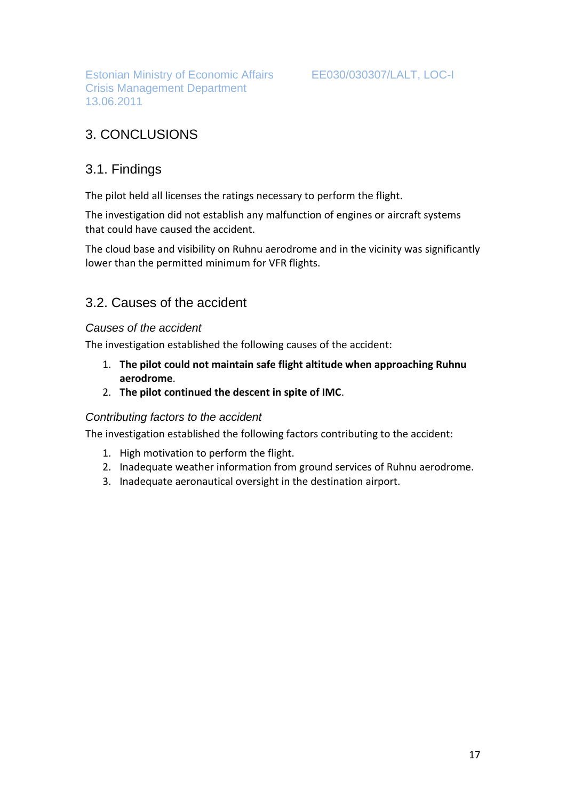#### EE030/030307/LALT, LOC-I

# <span id="page-16-0"></span>3. CONCLUSIONS

#### <span id="page-16-1"></span>3.1. Findings

13.06.2011

The pilot held all licenses the ratings necessary to perform the flight.

The investigation did not establish any malfunction of engines or aircraft systems that could have caused the accident.

The cloud base and visibility on Ruhnu aerodrome and in the vicinity was significantly lower than the permitted minimum for VFR flights.

#### <span id="page-16-2"></span>3.2. Causes of the accident

#### *Causes of the accident*

<span id="page-16-3"></span>The investigation established the following causes of the accident:

- 1. **The pilot could not maintain safe flight altitude when approaching Ruhnu aerodrome**.
- 2. **The pilot continued the descent in spite of IMC**.

#### *Contributing factors to the accident*

<span id="page-16-4"></span>The investigation established the following factors contributing to the accident:

- 1. High motivation to perform the flight.
- 2. Inadequate weather information from ground services of Ruhnu aerodrome.
- <span id="page-16-5"></span>3. Inadequate aeronautical oversight in the destination airport.